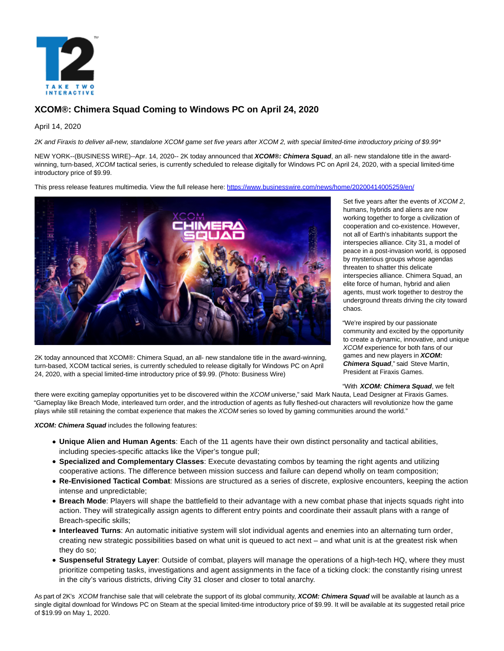

# **XCOM®: Chimera Squad Coming to Windows PC on April 24, 2020**

# April 14, 2020

2K and Firaxis to deliver all-new, standalone XCOM game set five years after XCOM 2, with special limited-time introductory pricing of \$9.99\*

NEW YORK--(BUSINESS WIRE)--Apr. 14, 2020-- 2K today announced that **XCOM®: Chimera Squad**, an all- new standalone title in the awardwinning, turn-based, XCOM tactical series, is currently scheduled to release digitally for Windows PC on April 24, 2020, with a special limited-time introductory price of \$9.99.

This press release features multimedia. View the full release here:<https://www.businesswire.com/news/home/20200414005259/en/>



2K today announced that XCOM®: Chimera Squad, an all- new standalone title in the award-winning, turn-based, XCOM tactical series, is currently scheduled to release digitally for Windows PC on April 24, 2020, with a special limited-time introductory price of \$9.99. (Photo: Business Wire)

Set five years after the events of XCOM 2, humans, hybrids and aliens are now working together to forge a civilization of cooperation and co-existence. However, not all of Earth's inhabitants support the interspecies alliance. City 31, a model of peace in a post-invasion world, is opposed by mysterious groups whose agendas threaten to shatter this delicate interspecies alliance. Chimera Squad, an elite force of human, hybrid and alien agents, must work together to destroy the underground threats driving the city toward chaos.

"We're inspired by our passionate community and excited by the opportunity to create a dynamic, innovative, and unique XCOM experience for both fans of our games and new players in **XCOM: Chimera Squad**," said Steve Martin, President at Firaxis Games.

### "With **XCOM: Chimera Squad**, we felt

there were exciting gameplay opportunities yet to be discovered within the XCOM universe," said Mark Nauta, Lead Designer at Firaxis Games. "Gameplay like Breach Mode, interleaved turn order, and the introduction of agents as fully fleshed-out characters will revolutionize how the game plays while still retaining the combat experience that makes the XCOM series so loved by gaming communities around the world."

**XCOM: Chimera Squad** includes the following features:

- **Unique Alien and Human Agents**: Each of the 11 agents have their own distinct personality and tactical abilities, including species-specific attacks like the Viper's tongue pull;
- **Specialized and Complementary Classes**: Execute devastating combos by teaming the right agents and utilizing cooperative actions. The difference between mission success and failure can depend wholly on team composition;
- **Re-Envisioned Tactical Combat**: Missions are structured as a series of discrete, explosive encounters, keeping the action intense and unpredictable;
- **Breach Mode**: Players will shape the battlefield to their advantage with a new combat phase that injects squads right into action. They will strategically assign agents to different entry points and coordinate their assault plans with a range of Breach-specific skills;
- **Interleaved Turns**: An automatic initiative system will slot individual agents and enemies into an alternating turn order, creating new strategic possibilities based on what unit is queued to act next – and what unit is at the greatest risk when they do so;
- **Suspenseful Strategy Layer**: Outside of combat, players will manage the operations of a high-tech HQ, where they must prioritize competing tasks, investigations and agent assignments in the face of a ticking clock: the constantly rising unrest in the city's various districts, driving City 31 closer and closer to total anarchy.

As part of 2K's XCOM franchise sale that will celebrate the support of its global community, **XCOM: Chimera Squad** will be available at launch as a single digital download for Windows PC on Steam at the special limited-time introductory price of \$9.99. It will be available at its suggested retail price of \$19.99 on May 1, 2020.